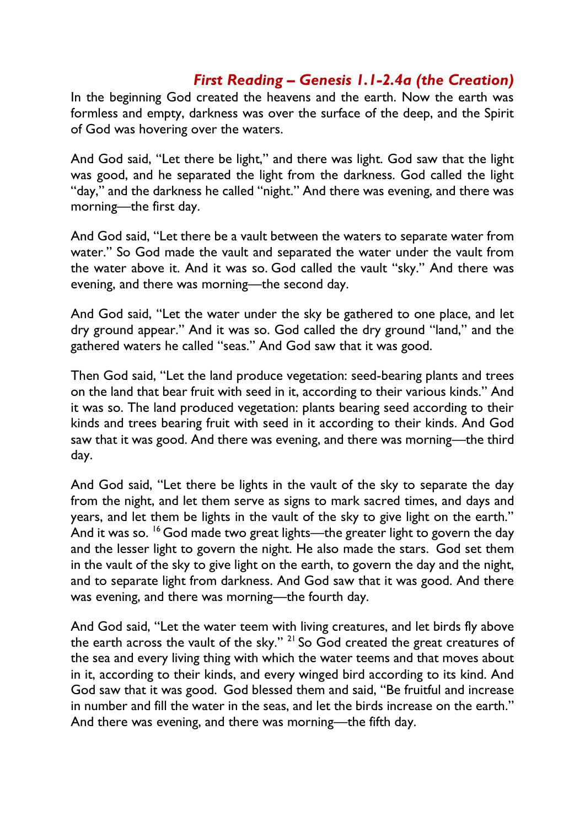# *First Reading – Genesis 1.1-2.4a (the Creation)*

In the beginning God created the heavens and the earth. Now the earth was formless and empty, darkness was over the surface of the deep, and the Spirit of God was hovering over the waters.

And God said, "Let there be light," and there was light. God saw that the light was good, and he separated the light from the darkness. God called the light "day," and the darkness he called "night." And there was evening, and there was morning—the first day.

And God said, "Let there be a vault between the waters to separate water from water." So God made the vault and separated the water under the vault from the water above it. And it was so. God called the vault "sky." And there was evening, and there was morning—the second day.

And God said, "Let the water under the sky be gathered to one place, and let dry ground appear." And it was so. God called the dry ground "land," and the gathered waters he called "seas." And God saw that it was good.

Then God said, "Let the land produce vegetation: seed-bearing plants and trees on the land that bear fruit with seed in it, according to their various kinds." And it was so. The land produced vegetation: plants bearing seed according to their kinds and trees bearing fruit with seed in it according to their kinds. And God saw that it was good. And there was evening, and there was morning—the third day.

And God said, "Let there be lights in the vault of the sky to separate the day from the night, and let them serve as signs to mark sacred times, and days and years, and let them be lights in the vault of the sky to give light on the earth." And it was so. <sup>16</sup> God made two great lights—the greater light to govern the day and the lesser light to govern the night. He also made the stars. God set them in the vault of the sky to give light on the earth, to govern the day and the night, and to separate light from darkness. And God saw that it was good. And there was evening, and there was morning—the fourth day.

And God said, "Let the water teem with living creatures, and let birds fly above the earth across the vault of the sky." <sup>21</sup> So God created the great creatures of the sea and every living thing with which the water teems and that moves about in it, according to their kinds, and every winged bird according to its kind. And God saw that it was good. God blessed them and said, "Be fruitful and increase in number and fill the water in the seas, and let the birds increase on the earth." And there was evening, and there was morning—the fifth day.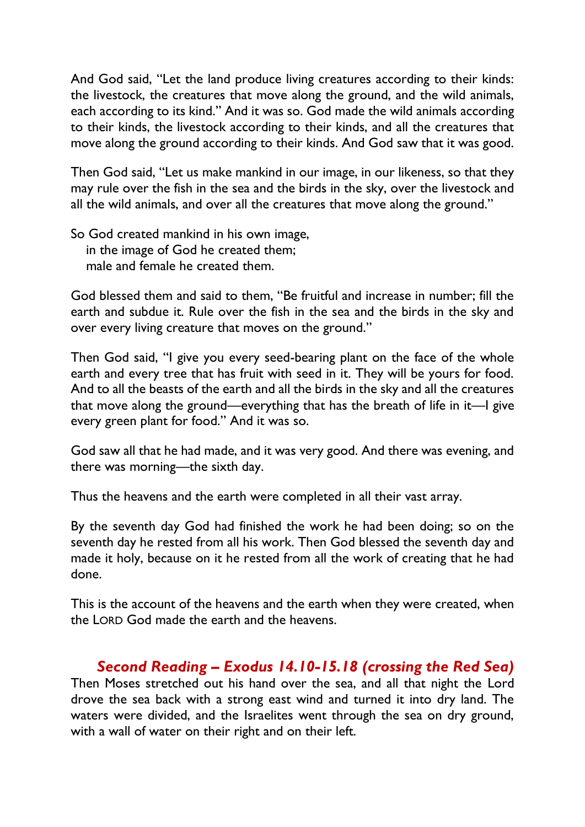And God said, "Let the land produce living creatures according to their kinds: the livestock, the creatures that move along the ground, and the wild animals, each according to its kind." And it was so. God made the wild animals according to their kinds, the livestock according to their kinds, and all the creatures that move along the ground according to their kinds. And God saw that it was good.

Then God said, "Let us make mankind in our image, in our likeness, so that they may rule over the fish in the sea and the birds in the sky, over the livestock and all the wild animals, and over all the creatures that move along the ground."

So God created mankind in his own image, in the image of God he created them; male and female he created them.

God blessed them and said to them, "Be fruitful and increase in number; fill the earth and subdue it. Rule over the fish in the sea and the birds in the sky and over every living creature that moves on the ground."

Then God said, "I give you every seed-bearing plant on the face of the whole earth and every tree that has fruit with seed in it. They will be yours for food. And to all the beasts of the earth and all the birds in the sky and all the creatures that move along the ground—everything that has the breath of life in it—I give every green plant for food." And it was so.

God saw all that he had made, and it was very good. And there was evening, and there was morning—the sixth day.

Thus the heavens and the earth were completed in all their vast array.

By the seventh day God had finished the work he had been doing; so on the seventh day he rested from all his work. Then God blessed the seventh day and made it holy, because on it he rested from all the work of creating that he had done.

This is the account of the heavens and the earth when they were created, when the LORD God made the earth and the heavens.

#### *Second Reading – Exodus 14.10-15.18 (crossing the Red Sea)*

Then Moses stretched out his hand over the sea, and all that night the Lord drove the sea back with a strong east wind and turned it into dry land. The waters were divided, and the Israelites went through the sea on dry ground, with a wall of water on their right and on their left.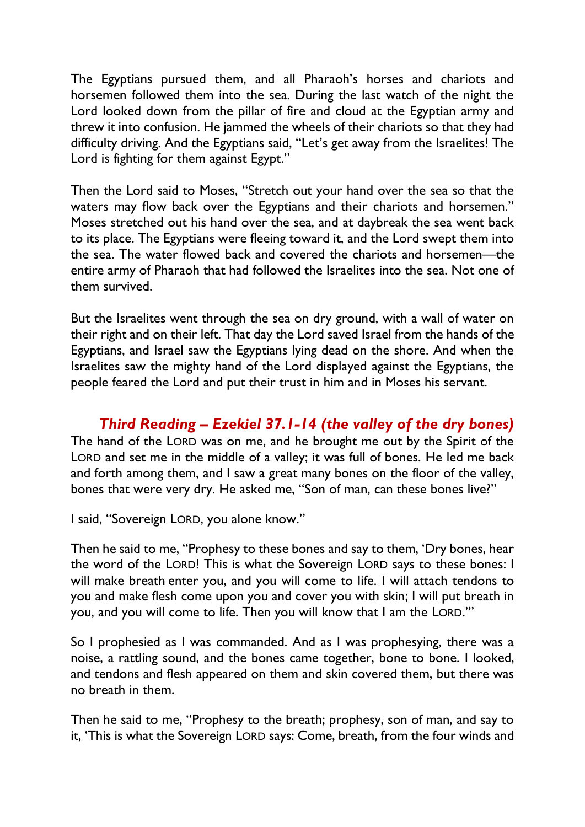The Egyptians pursued them, and all Pharaoh's horses and chariots and horsemen followed them into the sea. During the last watch of the night the Lord looked down from the pillar of fire and cloud at the Egyptian army and threw it into confusion. He jammed the wheels of their chariots so that they had difficulty driving. And the Egyptians said, "Let's get away from the Israelites! The Lord is fighting for them against Egypt."

Then the Lord said to Moses, "Stretch out your hand over the sea so that the waters may flow back over the Egyptians and their chariots and horsemen." Moses stretched out his hand over the sea, and at daybreak the sea went back to its place. The Egyptians were fleeing toward it, and the Lord swept them into the sea. The water flowed back and covered the chariots and horsemen—the entire army of Pharaoh that had followed the Israelites into the sea. Not one of them survived.

But the Israelites went through the sea on dry ground, with a wall of water on their right and on their left. That day the Lord saved Israel from the hands of the Egyptians, and Israel saw the Egyptians lying dead on the shore. And when the Israelites saw the mighty hand of the Lord displayed against the Egyptians, the people feared the Lord and put their trust in him and in Moses his servant.

#### *Third Reading – Ezekiel 37.1-14 (the valley of the dry bones)*

The hand of the LORD was on me, and he brought me out by the Spirit of the LORD and set me in the middle of a valley; it was full of bones. He led me back and forth among them, and I saw a great many bones on the floor of the valley, bones that were very dry. He asked me, "Son of man, can these bones live?"

I said, "Sovereign LORD, you alone know."

Then he said to me, "Prophesy to these bones and say to them, 'Dry bones, hear the word of the LORD! This is what the Sovereign LORD says to these bones: I will make breath enter you, and you will come to life. I will attach tendons to you and make flesh come upon you and cover you with skin; I will put breath in you, and you will come to life. Then you will know that I am the LORD.'"

So I prophesied as I was commanded. And as I was prophesying, there was a noise, a rattling sound, and the bones came together, bone to bone. I looked, and tendons and flesh appeared on them and skin covered them, but there was no breath in them.

Then he said to me, "Prophesy to the breath; prophesy, son of man, and say to it, 'This is what the Sovereign LORD says: Come, breath, from the four winds and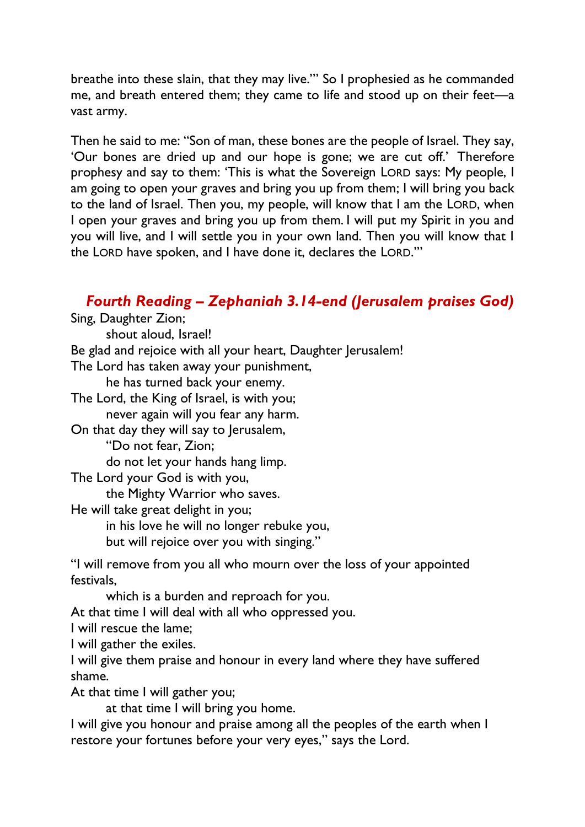breathe into these slain, that they may live.'" So I prophesied as he commanded me, and breath entered them; they came to life and stood up on their feet—a vast army.

Then he said to me: "Son of man, these bones are the people of Israel. They say, 'Our bones are dried up and our hope is gone; we are cut off.' Therefore prophesy and say to them: 'This is what the Sovereign LORD says: My people, I am going to open your graves and bring you up from them; I will bring you back to the land of Israel. Then you, my people, will know that I am the LORD, when I open your graves and bring you up from them. I will put my Spirit in you and you will live, and I will settle you in your own land. Then you will know that I the LORD have spoken, and I have done it, declares the LORD.'"

# *Fourth Reading – Zephaniah 3.14-end (Jerusalem praises God)*

Sing, Daughter Zion; shout aloud, Israel! Be glad and rejoice with all your heart, Daughter Jerusalem! The Lord has taken away your punishment, he has turned back your enemy. The Lord, the King of Israel, is with you; never again will you fear any harm. On that day they will say to Jerusalem, "Do not fear, Zion; do not let your hands hang limp. The Lord your God is with you, the Mighty Warrior who saves. He will take great delight in you; in his love he will no longer rebuke you, but will rejoice over you with singing." "I will remove from you all who mourn over the loss of your appointed festivals, which is a burden and reproach for you. At that time I will deal with all who oppressed you. I will rescue the lame; I will gather the exiles. I will give them praise and honour in every land where they have suffered shame.

At that time I will gather you;

at that time I will bring you home.

I will give you honour and praise among all the peoples of the earth when I restore your fortunes before your very eyes," says the Lord.